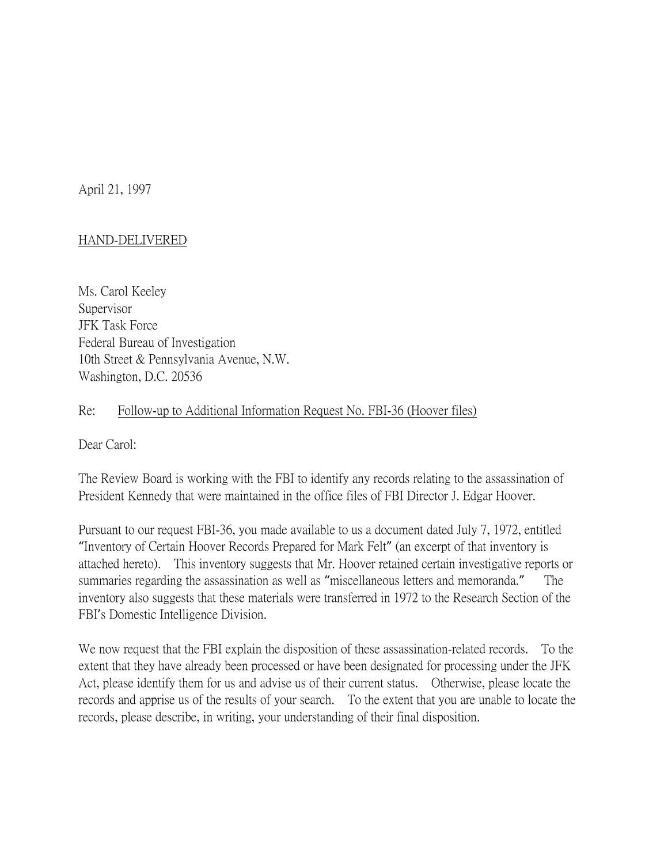April 21, 1997

## HAND-DELIVERED

Ms. Carol Keeley Supervisor JFK Task Force Federal Bureau of Investigation 10th Street & Pennsylvania Avenue, N.W. Washington, D.C. 20536

## Re: Follow-up to Additional Information Request No. FBI-36 (Hoover files)

Dear Carol:

The Review Board is working with the FBI to identify any records relating to the assassination of President Kennedy that were maintained in the office files of FBI Director J. Edgar Hoover.

Pursuant to our request FBI-36, you made available to us a document dated July 7, 1972, entitled "Inventory of Certain Hoover Records Prepared for Mark Felt" (an excerpt of that inventory is attached hereto). This inventory suggests that Mr. Hoover retained certain investigative reports or summaries regarding the assassination as well as "miscellaneous letters and memoranda." The inventory also suggests that these materials were transferred in 1972 to the Research Section of the FBI's Domestic Intelligence Division.

We now request that the FBI explain the disposition of these assassination-related records. To the extent that they have already been processed or have been designated for processing under the JFK Act, please identify them for us and advise us of their current status. Otherwise, please locate the records and apprise us of the results of your search. To the extent that you are unable to locate the records, please describe, in writing, your understanding of their final disposition.